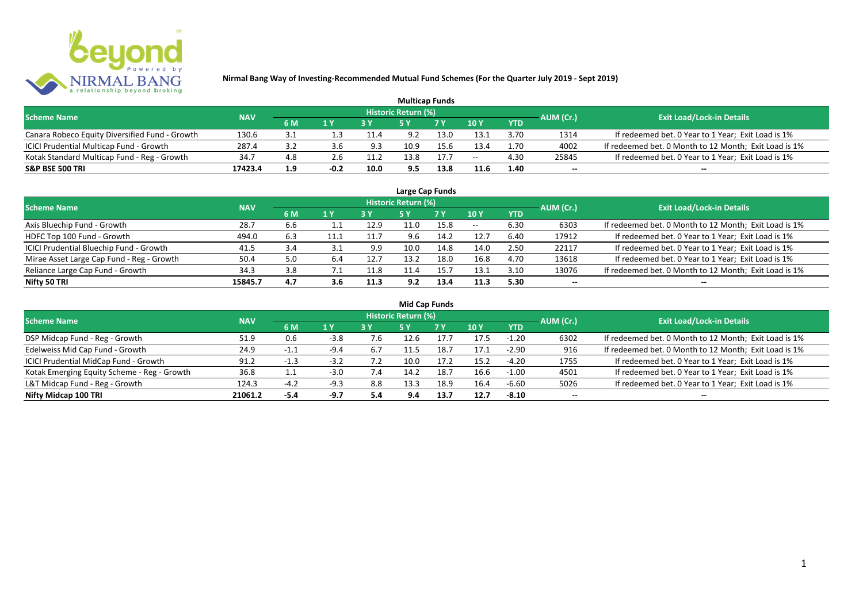

| <b>Multicap Funds</b>                          |            |                  |        |      |                            |           |               |            |           |                                                       |  |  |  |
|------------------------------------------------|------------|------------------|--------|------|----------------------------|-----------|---------------|------------|-----------|-------------------------------------------------------|--|--|--|
| <b>Scheme Name</b>                             | <b>NAV</b> |                  |        |      | <b>Historic Return (%)</b> |           |               |            | AUM (Cr.) | <b>Exit Load/Lock-in Details</b>                      |  |  |  |
|                                                |            | 6 M              | 1 Y    |      |                            | <b>7Y</b> | $\sqrt{10}$ y | <b>YTD</b> |           |                                                       |  |  |  |
| Canara Robeco Equity Diversified Fund - Growth | 130.6      | 3.1              |        | 11.4 | 9.2                        | 13.0      | 13.1          | 3.70       | 1314      | If redeemed bet. 0 Year to 1 Year; Exit Load is 1%    |  |  |  |
| ICICI Prudential Multicap Fund - Growth        | 287.4      | 3.2              | 3.b    | 9.3  | 10.9                       |           | 13.4          | 1.70       | 4002      | If redeemed bet. 0 Month to 12 Month; Exit Load is 1% |  |  |  |
| Kotak Standard Multicap Fund - Reg - Growth    | 34.7       | 4.8              | z.b    | 11.2 | 13.8                       | 17.7      | $- -$         | 4.30       | 25845     | If redeemed bet. 0 Year to 1 Year; Exit Load is 1%    |  |  |  |
| <b>S&amp;P BSE 500 TRI</b>                     | 17423.4    | 1.9 <sup>°</sup> | $-0.2$ | 10.0 | 9.5                        | 13.8      | 11.6          | 1.40       | $-$       | $- -$                                                 |  |  |  |

|                                           |            |     |      |      |                            | Large Cap Funds |       |            |           |                                                       |
|-------------------------------------------|------------|-----|------|------|----------------------------|-----------------|-------|------------|-----------|-------------------------------------------------------|
| <b>Scheme Name</b>                        | <b>NAV</b> |     |      |      | <b>Historic Return (%)</b> |                 |       |            | AUM (Cr.) | <b>Exit Load/Lock-in Details</b>                      |
|                                           |            | 6 M | 1 Y  |      | <b>5Y</b>                  | 7 Y             | 10Y   | <b>YTD</b> |           |                                                       |
| Axis Bluechip Fund - Growth               | 28.7       | 6.6 |      | 12.9 | 11.0                       | 15.8            | $- -$ | 6.30       | 6303      | If redeemed bet. 0 Month to 12 Month; Exit Load is 1% |
| HDFC Top 100 Fund - Growth                | 494.0      | 6.3 | 11.1 | 11.7 | 9.6                        | 14.2            | 12.7  | 6.40       | 17912     | If redeemed bet. 0 Year to 1 Year; Exit Load is 1%    |
| ICICI Prudential Bluechip Fund - Growth   | 41.5       | 3.4 | 3.1  | 9.9  | 10.0                       | 14.8            | 14.0  | 2.50       | 22117     | If redeemed bet. 0 Year to 1 Year; Exit Load is 1%    |
| Mirae Asset Large Cap Fund - Reg - Growth | 50.4       | 5.0 | 6.4  | 12.7 | 13.2                       | 18.0            | 16.8  | 4.70       | 13618     | If redeemed bet. 0 Year to 1 Year; Exit Load is 1%    |
| Reliance Large Cap Fund - Growth          | 34.3       | 3.8 |      | 11.8 | 11.4                       | 15.7            | 13.1  | 3.10       | 13076     | If redeemed bet. 0 Month to 12 Month; Exit Load is 1% |
| Nifty 50 TRI                              | 15845.7    | 4.7 | 3.6  | 11.3 | 9.2                        | 13.4            | 11.3  | 5.30       |           | --                                                    |

| <b>Mid Cap Funds</b>                        |            |               |        |     |                            |      |      |            |                          |                                                       |  |  |  |
|---------------------------------------------|------------|---------------|--------|-----|----------------------------|------|------|------------|--------------------------|-------------------------------------------------------|--|--|--|
| <b>Scheme Name</b>                          | <b>NAV</b> |               |        |     | <b>Historic Return (%)</b> |      |      |            | AUM (Cr.)                | <b>Exit Load/Lock-in Details</b>                      |  |  |  |
|                                             |            | 6 M           | 1 Y    |     | 5 Y                        | 7 Y  | 10Y  | <b>YTD</b> |                          |                                                       |  |  |  |
| DSP Midcap Fund - Reg - Growth              | 51.9       | 0.6           | $-3.8$ | 7.6 | 12.6                       | 17.7 | 17.5 | $-1.20$    | 6302                     | If redeemed bet. 0 Month to 12 Month; Exit Load is 1% |  |  |  |
| Edelweiss Mid Cap Fund - Growth             | 24.9       | $-1.1$        | $-9.4$ | 6.7 | 11.5                       | 18.7 | 17.1 | $-2.90$    | 916                      | If redeemed bet. 0 Month to 12 Month; Exit Load is 1% |  |  |  |
| ICICI Prudential MidCap Fund - Growth       | 91.2       | $-1.3$<br>- 1 | $-3.2$ |     | 10.0                       | 17.2 | 15.2 | $-4.20$    | 1755                     | If redeemed bet. 0 Year to 1 Year; Exit Load is 1%    |  |  |  |
| Kotak Emerging Equity Scheme - Reg - Growth | 36.8       | ᆠᆞᆠ           | $-3.0$ | 7.4 | 14.2                       | 18.7 | 16.6 | -1.00      | 4501                     | If redeemed bet. 0 Year to 1 Year; Exit Load is 1%    |  |  |  |
| L&T Midcap Fund - Reg - Growth              | 124.3      | $-4.2$        | $-9.3$ | 8.8 | 13.3                       | 18.9 | 16.4 | -6.60      | 5026                     | If redeemed bet. 0 Year to 1 Year; Exit Load is 1%    |  |  |  |
| Nifty Midcap 100 TRI                        | 21061.2    | $-5.4$        | -9.7   | 5.4 | 9.4                        | 13.7 | 12.7 | $-8.10$    | $\overline{\phantom{a}}$ | $- -$                                                 |  |  |  |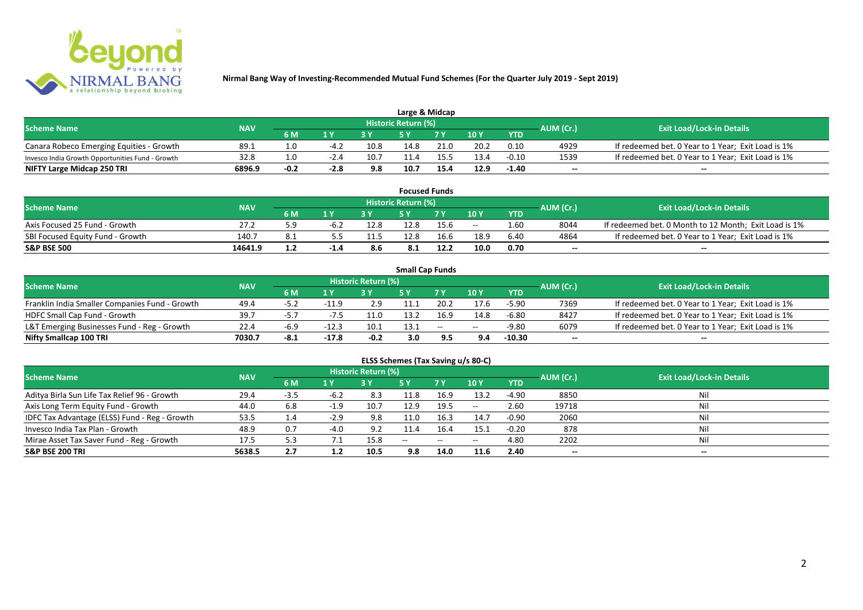

| Large & Midcap                                   |            |        |        |      |                            |                |      |            |           |                                                    |  |  |  |
|--------------------------------------------------|------------|--------|--------|------|----------------------------|----------------|------|------------|-----------|----------------------------------------------------|--|--|--|
| <b>Scheme Name</b>                               | <b>NAV</b> |        |        |      | <b>Historic Return (%)</b> |                |      |            | AUM (Cr.) | <b>Exit Load/Lock-in Details</b>                   |  |  |  |
|                                                  |            | 6 M    | 1 V    |      |                            | 7 <sub>V</sub> | 10Y  | <b>YTD</b> |           |                                                    |  |  |  |
| Canara Robeco Emerging Equities - Growth         | 89.1       |        | $-4.2$ | 10.8 | 14.8                       | 21.0           | 20.2 | 0.10       | 4929      | If redeemed bet. 0 Year to 1 Year; Exit Load is 1% |  |  |  |
| Invesco India Growth Opportunities Fund - Growth | 32.8       |        |        | 10.7 |                            | 155            | 13.4 | $-0.10$    | 1539      | If redeemed bet. 0 Year to 1 Year; Exit Load is 1% |  |  |  |
| NIFTY Large Midcap 250 TRI                       | 6896.9     | $-0.2$ | -2.8   | 9.8  | 10.7                       | 15.4           | 12.9 | $-1.40$    | $- -$     | $- -$                                              |  |  |  |

| <b>Focused Funds</b>             |            |     |        |      |                            |                |       |            |           |                                                       |  |  |  |
|----------------------------------|------------|-----|--------|------|----------------------------|----------------|-------|------------|-----------|-------------------------------------------------------|--|--|--|
| <b>Scheme Name</b>               | <b>NAV</b> |     |        |      | <b>Historic Return (%)</b> |                |       |            | AUM (Cr.) | <b>Exit Load/Lock-in Details</b>                      |  |  |  |
|                                  |            | 6 M | 4 V    |      | cν                         | 7 <sub>V</sub> | 10 Y  | <b>YTD</b> |           |                                                       |  |  |  |
| Axis Focused 25 Fund - Growth    | 27.2       | - 0 | -b.∠   | 12.8 | 12.8                       | 15.6           | $- -$ | 1.60       | 8044      | If redeemed bet. 0 Month to 12 Month; Exit Load is 1% |  |  |  |
| SBI Focused Equity Fund - Growth | 140.7      |     |        | 11.5 | 12.8                       | 16.6           | 18.9  | 6.4C       | 4864      | If redeemed bet. 0 Year to 1 Year; Exit Load is 1%    |  |  |  |
| <b>S&amp;P BSE 500</b>           | 14641.9    |     | $-1.4$ |      | 8.1                        | 12.2           | 10.0  | 0.70       | $- -$     | $- -$                                                 |  |  |  |

|                                                |            |        |         |                     |      | <b>Small Cap Funds</b> |       |            |           |                                                    |
|------------------------------------------------|------------|--------|---------|---------------------|------|------------------------|-------|------------|-----------|----------------------------------------------------|
| <b>Scheme Name</b>                             | <b>NAV</b> |        |         | Historic Return (%) |      |                        |       |            | AUM (Cr.) | <b>Exit Load/Lock-in Details</b>                   |
|                                                |            | 6 M    | 1 Y     |                     |      | 7 V                    | 10Y   | <b>YTD</b> |           |                                                    |
| Franklin India Smaller Companies Fund - Growth | 49.4       | -5.2   | -11.9   | 2.9                 | 11.1 | 20.2                   | 17.6  | -5.90      | 7369      | If redeemed bet. 0 Year to 1 Year; Exit Load is 1% |
| HDFC Small Cap Fund - Growth                   | 39.7       | $-5.7$ | -75     | 11.0                | 13.2 | 16.9                   | 14.8  | $-6.80$    | 8427      | If redeemed bet. 0 Year to 1 Year; Exit Load is 1% |
| L&T Emerging Businesses Fund - Reg - Growth    | 22.4       | $-6.9$ | $-12.3$ | 10.1                | 13.1 | $\sim$                 | $- -$ | $-9.80$    | 6079      | If redeemed bet. 0 Year to 1 Year; Exit Load is 1% |
| Nifty Smallcap 100 TRI                         | 7030.7     | -8.1   | $-17.8$ | $-0.2$              | 3.0  |                        | 9.4   | $-10.30$   | $- -$     | $- -$                                              |

# **ELSS Schemes (Tax Saving u/s 80-C)**

| <b>Scheme Name</b>                            | <b>NAV</b> |      |        | <b>Historic Return (%)</b> |           |                          |               |            | AUM (Cr.) | <b>Exit Load/Lock-in Details</b> |
|-----------------------------------------------|------------|------|--------|----------------------------|-----------|--------------------------|---------------|------------|-----------|----------------------------------|
|                                               |            | 6 M  | $A$ Y  |                            | <b>5Y</b> | 7Y                       | 10Y           | <b>YTD</b> |           |                                  |
| Aditya Birla Sun Life Tax Relief 96 - Growth  | 29.4       | -3.5 | -6.2   | 8.3                        | 11.8      | 16.9                     | 13.2          | -4.90      | 8850      | Nil                              |
| Axis Long Term Equity Fund - Growth           | 44.0       | 6.8  | $-1.9$ | 10.7                       | 12.9      | 19.5                     | $\sim$ $\sim$ | 2.60       | 19718     |                                  |
| IDFC Tax Advantage (ELSS) Fund - Reg - Growth | 53.5       | 1.4  | $-2.9$ | 9.8                        | 11.0      | 16.3                     | 14.7          | $-0.90$    | 2060      |                                  |
| Invesco India Tax Plan - Growth               | 48.9       | 0.7  | $-4.0$ | 9.2                        | 11.4      | 16.4                     | 15.1          | $-0.20$    | 878       | Nil                              |
| Mirae Asset Tax Saver Fund - Reg - Growth     | 17.5       | 5.3  |        | 15.8                       | $- -$     | $\overline{\phantom{a}}$ | $- -$         | 4.80       | 2202      | Nil                              |
| <b>S&amp;P BSE 200 TRI</b>                    | 5638.5     | 2.7  | 1.2    | 10.5                       | 9.8       | 14.0                     | 11.6          | 2.40       | $- -$     | $- -$                            |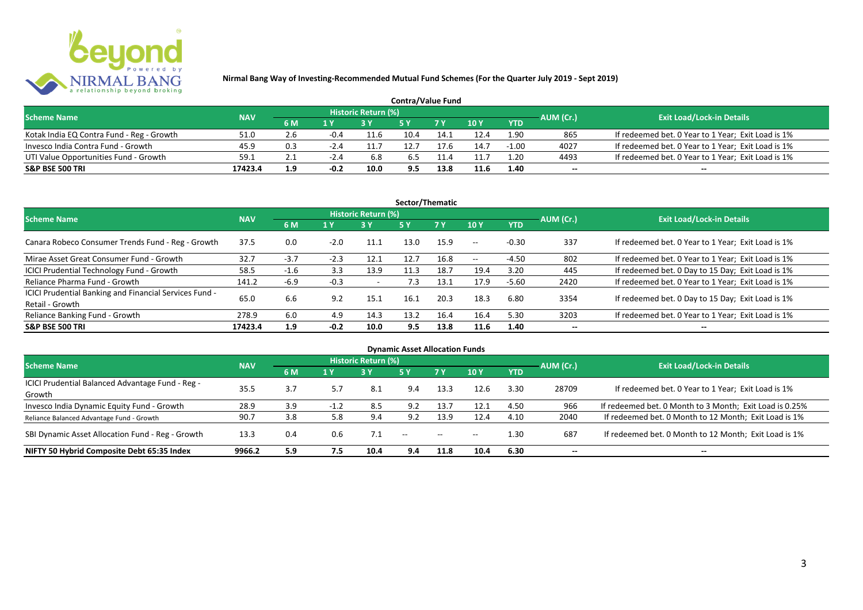

| <b>Contra/Value Fund</b>                  |            |                  |        |                     |      |      |        |            |           |                                                    |  |  |  |
|-------------------------------------------|------------|------------------|--------|---------------------|------|------|--------|------------|-----------|----------------------------------------------------|--|--|--|
| <b>Scheme Name</b>                        | <b>NAV</b> |                  |        | Historic Return (%) |      |      |        |            | AUM (Cr.) | <b>Exit Load/Lock-in Details</b>                   |  |  |  |
|                                           |            | 6 M              | 1 Y    |                     |      | 7Y   | $-10Y$ | <b>YTD</b> |           |                                                    |  |  |  |
| Kotak India EQ Contra Fund - Reg - Growth | 51.0       | 2.6              | -0.4   | 11.6                | 10.4 | 14.1 | 12.4   | 1.90       | 865       | If redeemed bet. 0 Year to 1 Year; Exit Load is 1% |  |  |  |
| Invesco India Contra Fund - Growth        | 45.9       | 0.3              | $-2.4$ | 11.7                |      |      | 14.7   | $-1.00$    | 4027      | If redeemed bet. 0 Year to 1 Year; Exit Load is 1% |  |  |  |
| UTI Value Opportunities Fund - Growth     | 59.1       | 2.1              | -2.4   | 6.8                 | b.5  |      | 11.7   | 1.20       | 4493      | If redeemed bet. 0 Year to 1 Year; Exit Load is 1% |  |  |  |
| <b>S&amp;P BSE 500 TRI</b>                | 17423.4    | 1.9 <sub>2</sub> | $-0.2$ | 10.0                | 9.5  | 13.8 | 11.6   | 1.40       | $-$       | $- -$                                              |  |  |  |

| Sector/Thematic                                                           |            |        |        |                            |            |           |            |            |           |                                                    |  |  |  |
|---------------------------------------------------------------------------|------------|--------|--------|----------------------------|------------|-----------|------------|------------|-----------|----------------------------------------------------|--|--|--|
| <b>Scheme Name</b>                                                        | <b>NAV</b> |        |        | <b>Historic Return (%)</b> |            |           |            |            | AUM (Cr.) | <b>Exit Load/Lock-in Details</b>                   |  |  |  |
|                                                                           |            | 6 M    | 1 Y    | <b>3Y</b>                  | <b>5 Y</b> | <b>7Y</b> | 10Y        | <b>YTD</b> |           |                                                    |  |  |  |
| Canara Robeco Consumer Trends Fund - Reg - Growth                         | 37.5       | 0.0    | $-2.0$ | 11.1                       | 13.0       | 15.9      | $\sim$ $-$ | $-0.30$    | 337       | If redeemed bet. 0 Year to 1 Year; Exit Load is 1% |  |  |  |
| Mirae Asset Great Consumer Fund - Growth                                  | 32.7       | $-3.7$ | $-2.3$ | 12.1                       | 12.7       | 16.8      | $  \,$     | -4.50      | 802       | If redeemed bet. 0 Year to 1 Year; Exit Load is 1% |  |  |  |
| <b>ICICI Prudential Technology Fund - Growth</b>                          | 58.5       | $-1.6$ | 3.3    | 13.9                       | 11.3       | 18.7      | 19.4       | 3.20       | 445       | If redeemed bet. 0 Day to 15 Day; Exit Load is 1%  |  |  |  |
| Reliance Pharma Fund - Growth                                             | 141.2      | -6.9   | $-0.3$ |                            | 7.3        | 13.1      | 17.9       | $-5.60$    | 2420      | If redeemed bet. 0 Year to 1 Year; Exit Load is 1% |  |  |  |
| ICICI Prudential Banking and Financial Services Fund -<br>Retail - Growth | 65.0       | 6.6    | 9.2    | 15.1                       | 16.1       | 20.3      | 18.3       | 6.80       | 3354      | If redeemed bet. 0 Day to 15 Day; Exit Load is 1%  |  |  |  |
| Reliance Banking Fund - Growth                                            | 278.9      | 6.0    | 4.9    | 14.3                       | 13.2       | 16.4      | 16.4       | 5.30       | 3203      | If redeemed bet. 0 Year to 1 Year; Exit Load is 1% |  |  |  |
| <b>S&amp;P BSE 500 TRI</b>                                                | 17423.4    | 1.9    | $-0.2$ | 10.0                       | 9.5        | 13.8      | 11.6       | 1.40       | --        | --                                                 |  |  |  |

| <b>Dynamic Asset Allocation Funds</b>            |            |     |        |                            |               |               |       |            |                          |                                                         |  |  |  |
|--------------------------------------------------|------------|-----|--------|----------------------------|---------------|---------------|-------|------------|--------------------------|---------------------------------------------------------|--|--|--|
| <b>Scheme Name</b>                               | <b>NAV</b> |     |        | <b>Historic Return (%)</b> |               |               |       |            | AUM (Cr.)                | <b>Exit Load/Lock-in Details</b>                        |  |  |  |
|                                                  |            | 6 M | 1 Y    | 3Y                         | 5 Y           | .7 Y          | 10Y   | <b>YTD</b> |                          |                                                         |  |  |  |
| ICICI Prudential Balanced Advantage Fund - Reg - | 35.5       | 3.7 |        | 8.1                        | 9.4           | 13.3          | 12.6  | 3.30       | 28709                    | If redeemed bet. 0 Year to 1 Year; Exit Load is 1%      |  |  |  |
| Growth                                           |            |     |        |                            |               |               |       |            |                          |                                                         |  |  |  |
| Invesco India Dynamic Equity Fund - Growth       | 28.9       | 3.9 | $-1.2$ | 8.5                        | 9.2           | 13.7          | 12.1  | 4.50       | 966                      | If redeemed bet. 0 Month to 3 Month; Exit Load is 0.25% |  |  |  |
| Reliance Balanced Advantage Fund - Growth        | 90.7       | 3.8 | 5.8    | 9.4                        | 9.2           | 13.9          | 12.4  | 4.10       | 2040                     | If redeemed bet. 0 Month to 12 Month; Exit Load is 1%   |  |  |  |
| SBI Dynamic Asset Allocation Fund - Reg - Growth | 13.3       | 0.4 | 0.6    |                            | $\sim$ $\sim$ | $\sim$ $\sim$ | $- -$ | 1.30       | 687                      | If redeemed bet. 0 Month to 12 Month; Exit Load is 1%   |  |  |  |
| NIFTY 50 Hybrid Composite Debt 65:35 Index       | 9966.2     | 5.9 | 7.5    | 10.4                       | 9.4           | 11.8          | 10.4  | 6.30       | $\overline{\phantom{a}}$ | $- -$                                                   |  |  |  |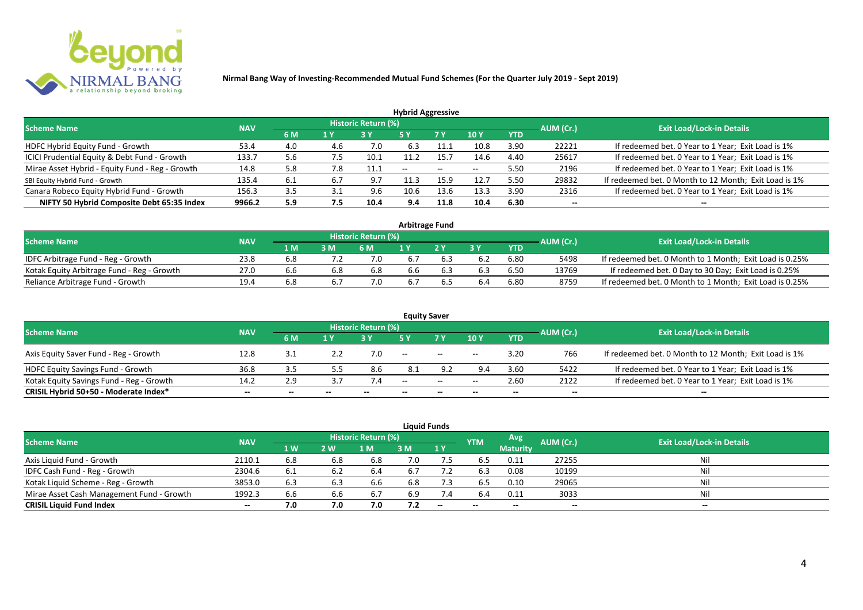

| <b>Hybrid Aggressive</b>                        |            |     |     |                            |                          |                          |                          |            |                          |                                                       |  |  |  |
|-------------------------------------------------|------------|-----|-----|----------------------------|--------------------------|--------------------------|--------------------------|------------|--------------------------|-------------------------------------------------------|--|--|--|
| <b>Scheme Name</b>                              | <b>NAV</b> |     |     | <b>Historic Return (%)</b> |                          |                          |                          |            | AUM (Cr.)                | <b>Exit Load/Lock-in Details</b>                      |  |  |  |
|                                                 |            | 6 M | 1 Y |                            | 5 Y                      | 7 Y                      | 10Y                      | <b>YTD</b> |                          |                                                       |  |  |  |
| HDFC Hybrid Equity Fund - Growth                | 53.4       | 4.0 | 4.6 | 7.0                        | 6.3                      |                          | 10.8                     | 3.90       | 22221                    | If redeemed bet. 0 Year to 1 Year; Exit Load is 1%    |  |  |  |
| ICICI Prudential Equity & Debt Fund - Growth    | 133.7      | 5.6 | 7.5 | 10.1                       | 11.2                     | 15.7                     | 14.6                     | 4.40       | 25617                    | If redeemed bet. 0 Year to 1 Year; Exit Load is 1%    |  |  |  |
| Mirae Asset Hybrid - Equity Fund - Reg - Growth | 14.8       | 5.8 | 7.8 | 11.1                       | $\overline{\phantom{a}}$ | $\overline{\phantom{a}}$ | $\overline{\phantom{a}}$ | 5.50       | 2196                     | If redeemed bet. 0 Year to 1 Year; Exit Load is 1%    |  |  |  |
| SBI Equity Hybrid Fund - Growth                 | 135.4      | 6.1 |     | 9.7                        |                          | 15.9                     | 12.7                     | 5.50       | 29832                    | If redeemed bet. 0 Month to 12 Month; Exit Load is 1% |  |  |  |
| Canara Robeco Equity Hybrid Fund - Growth       | 156.3      | 3.5 |     | 9.6                        | 10.6                     | 13.6                     | 13.3                     | 3.90       | 2316                     | If redeemed bet. 0 Year to 1 Year; Exit Load is 1%    |  |  |  |
| NIFTY 50 Hybrid Composite Debt 65:35 Index      | 9966.2     | 5.9 | 7.5 | 10.4                       | 9.4                      | 11.8                     | 10.4                     | 6.30       | $\overline{\phantom{a}}$ | $- -$                                                 |  |  |  |

| <b>Arbitrage Fund</b>                      |            |     |     |                            |     |  |     |      |           |                                                         |  |  |  |
|--------------------------------------------|------------|-----|-----|----------------------------|-----|--|-----|------|-----------|---------------------------------------------------------|--|--|--|
| <b>Scheme Name</b>                         | <b>NAV</b> |     |     | <b>Historic Return (%)</b> |     |  |     |      | AUM (Cr.) | <b>Exit Load/Lock-in Details</b>                        |  |  |  |
|                                            |            | 1 M | 3 M | 6 M                        |     |  | 2 V | YTD  |           |                                                         |  |  |  |
| IDFC Arbitrage Fund - Reg - Growth         | 23.8       | 6.8 |     |                            | 6.7 |  |     | 6.80 | 5498      | If redeemed bet. 0 Month to 1 Month; Exit Load is 0.25% |  |  |  |
| Kotak Equity Arbitrage Fund - Reg - Growth | 27.0       | 6.6 | 6.8 | 6.8                        | 6.6 |  |     | 6.50 | 13769     | If redeemed bet. 0 Day to 30 Day; Exit Load is 0.25%    |  |  |  |
| Reliance Arbitrage Fund - Growth           | 19.4       | 6.8 |     |                            | 6.7 |  |     | 6.80 | 8759      | If redeemed bet. 0 Month to 1 Month; Exit Load is 0.25% |  |  |  |

|                                          |            |       |       |                     |       | <b>Equity Saver</b> |                 |            |           |                                                       |
|------------------------------------------|------------|-------|-------|---------------------|-------|---------------------|-----------------|------------|-----------|-------------------------------------------------------|
| <b>Scheme Name</b>                       | <b>NAV</b> |       |       | Historic Return (%) |       |                     |                 |            | AUM (Cr.) | <b>Exit Load/Lock-in Details</b>                      |
|                                          |            | 6 M   | 1 V   |                     |       | 7 <sub>V</sub>      | 10 <sub>V</sub> | <b>YTD</b> |           |                                                       |
| Axis Equity Saver Fund - Reg - Growth    | 12.8       | 3.1   |       | 7.0                 | $- -$ | $--$                | $- -$           | 3.20       | 766       | If redeemed bet. 0 Month to 12 Month; Exit Load is 1% |
| HDFC Equity Savings Fund - Growth        | 36.8       | 3.5   |       | 8.6                 | 8.1   | a ว                 | 9.4             | 3.60       | 5422      | If redeemed bet. 0 Year to 1 Year; Exit Load is 1%    |
| Kotak Equity Savings Fund - Reg - Growth | 14.2       | 2.9   |       |                     | $-$   | $\sim$              | $- -$           | 2.60       | 2122      | If redeemed bet. 0 Year to 1 Year; Exit Load is 1%    |
| CRISIL Hybrid 50+50 - Moderate Index*    | $- -$      | $- -$ | $- -$ |                     | $- -$ | --                  |                 | $- -$      | $- -$     |                                                       |

|                                           |                                  |     |     |     |     | <b>Liquid Funds</b> |            |                 |           |                          |
|-------------------------------------------|----------------------------------|-----|-----|-----|-----|---------------------|------------|-----------------|-----------|--------------------------|
| <b>Scheme Name</b>                        | <b>Exit Load/Lock-in Details</b> |     |     |     |     |                     |            |                 |           |                          |
|                                           | <b>NAV</b>                       | 1W  | 2 W | 1 M | 3 M | 1 <sup>Y</sup>      | <b>YTM</b> | <b>Maturity</b> | AUM (Cr.) |                          |
| Axis Liquid Fund - Growth                 | 2110.1                           | 6.8 | 6.8 | 6.8 | 7.0 | 7.5                 | 6.5        | 0.11            | 27255     | Nil                      |
| IDFC Cash Fund - Reg - Growth             | 2304.6                           | 6.1 |     | 6.4 | 6.7 |                     | 6.3        | 0.08            | 10199     | Nil                      |
| Kotak Liquid Scheme - Reg - Growth        | 3853.0                           | 6.3 | 6.3 | 6.6 | 6.8 | 7.3                 | 6.5        | 0.10            | 29065     | Nil                      |
| Mirae Asset Cash Management Fund - Growth | 1992.3                           | 6.6 | 6.6 | 6.7 | 6.9 | 7.4                 | 6.4        | 0.11            | 3033      | Nil                      |
| <b>CRISIL Liquid Fund Index</b>           | $- -$                            | 7.0 | 7.0 | 7.0 | 7.2 | $-$                 | $- -$      | $- -$           | $- -$     | $\overline{\phantom{a}}$ |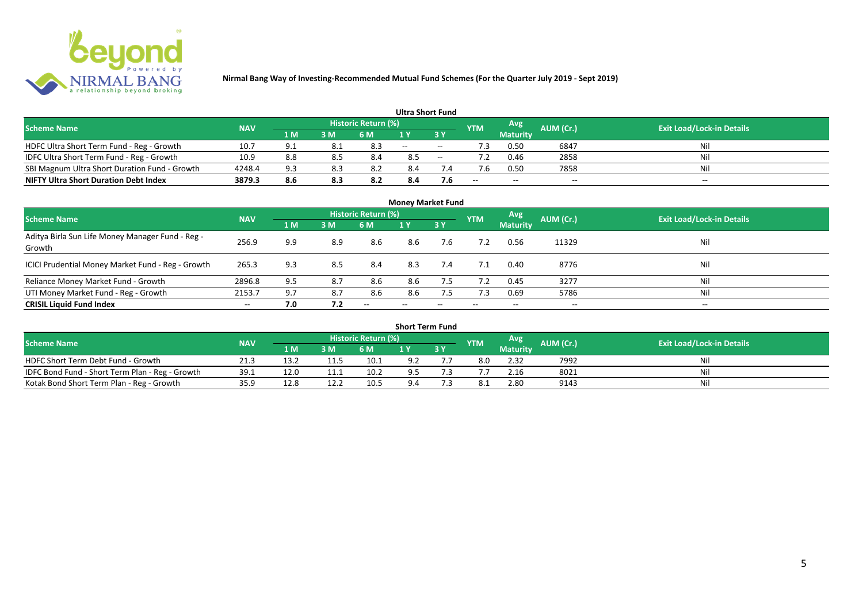

|                                               |            |     |     |                            | <b>Ultra Short Fund</b> |        |            |                 |           |                                  |
|-----------------------------------------------|------------|-----|-----|----------------------------|-------------------------|--------|------------|-----------------|-----------|----------------------------------|
| <b>Scheme Name</b>                            | <b>NAV</b> |     |     | <b>Historic Return (%)</b> |                         |        | <b>YTM</b> | Avg             | AUM (Cr.) | <b>Exit Load/Lock-in Details</b> |
|                                               |            | 1 M | 3 M | 6 M                        | 1 Y                     |        |            | <b>Maturity</b> |           |                                  |
| HDFC Ultra Short Term Fund - Reg - Growth     | 10.7       | ۵۰  | 8.1 | 8.3                        | $  \,$                  | $\sim$ | ٠3         | 0.50            | 6847      | Nil                              |
| IDFC Ultra Short Term Fund - Reg - Growth     | 10.9       | 8.8 |     | 8.4                        | 8.5                     | $\sim$ |            | 0.46            | 2858      | Nil                              |
| SBI Magnum Ultra Short Duration Fund - Growth | 4248.4     | 9.3 | 8.3 |                            | 8.4                     |        |            | 0.50            | 7858      | Nil                              |
| <b>NIFTY Ultra Short Duration Debt Index</b>  | 3879.3     | 8.6 | 8.3 | 8.2                        | 8.4                     | 7.6    | $- -$      | $- -$           | $- -$     | $- -$                            |

| <b>Money Market Fund</b>                                   |            |     |     |                     |       |                          |            |                 |           |                                  |  |  |  |  |
|------------------------------------------------------------|------------|-----|-----|---------------------|-------|--------------------------|------------|-----------------|-----------|----------------------------------|--|--|--|--|
| <b>Scheme Name</b>                                         | <b>NAV</b> |     |     | Historic Return (%) |       |                          | <b>YTM</b> | Avg             | AUM (Cr.) | <b>Exit Load/Lock-in Details</b> |  |  |  |  |
|                                                            |            | 1 M | 3M  | 6 M                 | 1Y    | 3Y                       |            | <b>Maturity</b> |           |                                  |  |  |  |  |
| Aditya Birla Sun Life Money Manager Fund - Reg -<br>Growth | 256.9      | 9.9 | 8.9 | 8.6                 | 8.6   | 7.6                      |            | 0.56            | 11329     | Nil                              |  |  |  |  |
| ICICI Prudential Money Market Fund - Reg - Growth          | 265.3      | 9.3 | 8.5 | 8.4                 | 8.3   | 7.4                      |            | 0.40            | 8776      | Nil                              |  |  |  |  |
| Reliance Money Market Fund - Growth                        | 2896.8     | 9.5 | 8.7 | 8.6                 | 8.6   | 7.5                      |            | 0.45            | 3277      | Nil                              |  |  |  |  |
| UTI Money Market Fund - Reg - Growth                       | 2153.7     | 9.7 | 8.7 | 8.6                 | 8.6   | 7.5                      | 7.3        | 0.69            | 5786      | Nil                              |  |  |  |  |
| <b>CRISIL Liquid Fund Index</b>                            | $- -$      | 7.0 | 7.2 | $- -$               | $- -$ | $\overline{\phantom{a}}$ | $- -$      | $- -$           | $- -$     | $\overline{\phantom{a}}$         |  |  |  |  |

| <b>Short Term Fund</b>                          |            |      |     |                            |     |           |            |                 |                  |                                  |  |  |  |  |
|-------------------------------------------------|------------|------|-----|----------------------------|-----|-----------|------------|-----------------|------------------|----------------------------------|--|--|--|--|
| <b>Scheme Name</b>                              | <b>NAV</b> |      |     | <b>Historic Return (%)</b> |     |           | <b>YTM</b> | Avg             | <b>AUM (Cr.)</b> | <b>Exit Load/Lock-in Details</b> |  |  |  |  |
|                                                 |            | 1 M' | 3 M | 6 M                        | 1 Y | <b>3Y</b> |            | <b>Maturity</b> |                  |                                  |  |  |  |  |
| HDFC Short Term Debt Fund - Growth              | 21.3       | 13.2 |     | 10.1                       | 9.2 |           | 8.0        | 2.32            | 7992             | Nil                              |  |  |  |  |
| IDFC Bond Fund - Short Term Plan - Reg - Growth | 39.1       | 12.0 |     | 10.2                       | 9.5 |           |            | 2.16            | 8021             | Nil                              |  |  |  |  |
| Kotak Bond Short Term Plan - Reg - Growth       | 35.9       | 12.8 |     | 10.5                       | 9.4 |           |            | 2.80            | 9143             | Nil                              |  |  |  |  |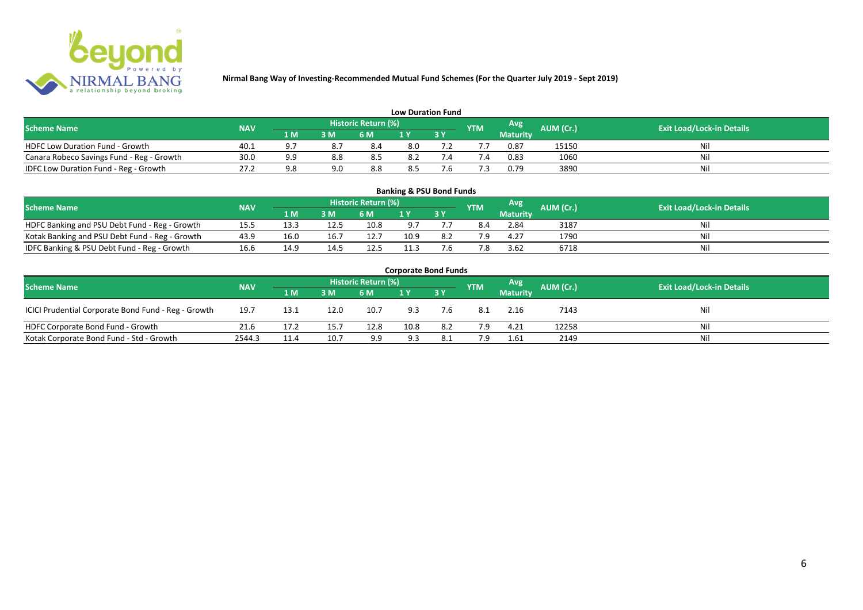

| <b>Low Duration Fund</b>                  |            |     |     |                            |     |  |            |          |           |                                  |  |  |  |  |
|-------------------------------------------|------------|-----|-----|----------------------------|-----|--|------------|----------|-----------|----------------------------------|--|--|--|--|
| <b>Scheme Name</b>                        | <b>NAV</b> |     |     | <b>Historic Return (%)</b> |     |  | <b>YTM</b> | Avg      | AUM (Cr.) | <b>Exit Load/Lock-in Details</b> |  |  |  |  |
|                                           |            | 1 M | 3 M | 6 M                        | 1 Y |  |            | Maturity |           |                                  |  |  |  |  |
| <b>HDFC Low Duration Fund - Growth</b>    | 40.1       | a ' |     | 8.4                        | 8.0 |  |            | 0.87     | 15150     | Nil                              |  |  |  |  |
| Canara Robeco Savings Fund - Reg - Growth | 30.0       |     | 8.8 | -8.5                       | 8.2 |  | '.4        | 0.83     | 1060      | Nil                              |  |  |  |  |
| IDFC Low Duration Fund - Reg - Growth     | 27.2       |     | 9.0 | 8.8                        | 8.5 |  |            | 0.79     | 3890      | Nil                              |  |  |  |  |

| <b>Banking &amp; PSU Bond Funds</b>                                                                                                                |      |      |      |      |      |    |     |                 |      |    |  |  |  |  |
|----------------------------------------------------------------------------------------------------------------------------------------------------|------|------|------|------|------|----|-----|-----------------|------|----|--|--|--|--|
| <b>Historic Return (%)</b><br><b>Avg</b><br><b>AUM (Cr.)</b><br><b>Exit Load/Lock-in Details</b><br><b>NAV</b><br><b>Scheme Name</b><br><b>YTM</b> |      |      |      |      |      |    |     |                 |      |    |  |  |  |  |
|                                                                                                                                                    |      | 1 M  | 3 M  | 6 M  |      | 3Y |     | <b>Maturity</b> |      |    |  |  |  |  |
| HDFC Banking and PSU Debt Fund - Reg - Growth                                                                                                      | 15.5 | 13.3 | 12.5 | 10.8 |      |    | 8.4 | 2.84            | 3187 | Ni |  |  |  |  |
| Kotak Banking and PSU Debt Fund - Reg - Growth                                                                                                     | 43.9 | 16.0 | 16.7 | 12.7 | 10.9 |    | 7 Q | 4.27            | 1790 | Ni |  |  |  |  |
| IDFC Banking & PSU Debt Fund - Reg - Growth                                                                                                        | 16.6 | 14.9 | 14.5 | 12.5 | 11.3 |    | 7.8 | 3.62            | 6718 | Ni |  |  |  |  |

| <b>Corporate Bond Funds</b>                         |            |      |      |                     |      |           |            |                 |           |                                  |  |  |  |  |
|-----------------------------------------------------|------------|------|------|---------------------|------|-----------|------------|-----------------|-----------|----------------------------------|--|--|--|--|
| <b>Scheme Name</b>                                  | <b>NAV</b> |      |      | Historic Return (%) |      |           | <b>YTM</b> | Avg             | AUM (Cr.) | <b>Exit Load/Lock-in Details</b> |  |  |  |  |
|                                                     |            | 1 M  | 3 M  | 6 M                 |      | <b>3Y</b> |            | <b>Maturity</b> |           |                                  |  |  |  |  |
| ICICI Prudential Corporate Bond Fund - Reg - Growth | 19.7       | 13.1 | 12.0 | 10.7                | 9.3  | 7.6       | 8.1        | 2.16            | 7143      | Nil                              |  |  |  |  |
| HDFC Corporate Bond Fund - Growth                   | 21.6       | 17.2 | 15.7 | 12.8                | 10.8 | 8.2       | 7.9        | 4.21            | 12258     | Nil                              |  |  |  |  |
| Kotak Corporate Bond Fund - Std - Growth            | 2544.3     | 11.4 | 10.7 | 9.9                 | 9.3  | 8.1       | 7.9        | 1.61            | 2149      | Nil                              |  |  |  |  |